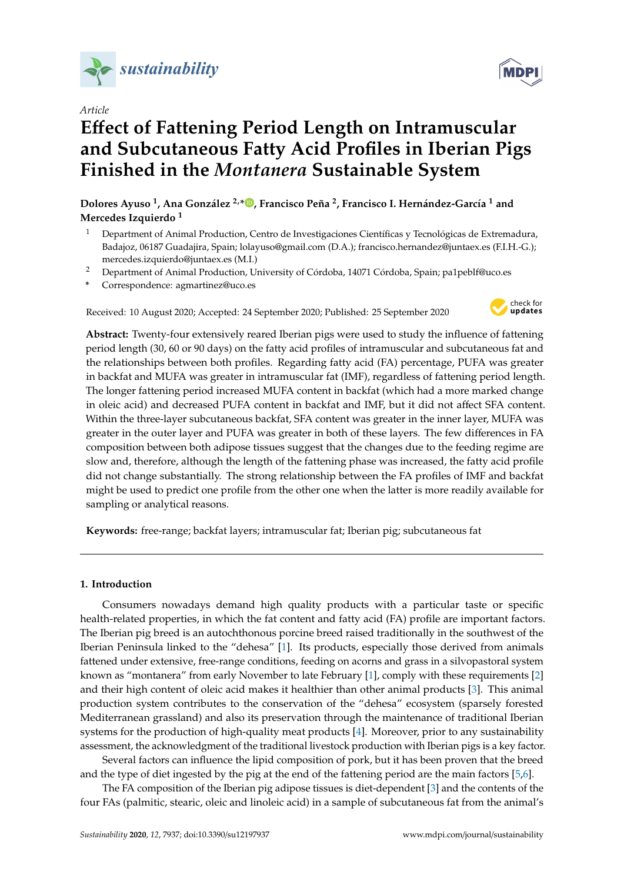

*Article*

# **E**ff**ect of Fattening Period Length on Intramuscular and Subcutaneous Fatty Acid Profiles in Iberian Pigs Finished in the** *Montanera* **Sustainable System**

**Dolores Ayuso <sup>1</sup> , Ana González 2,[\\*](https://orcid.org/0000-0002-4823-5357) , Francisco Peña <sup>2</sup> , Francisco I. Hernández-García <sup>1</sup> and Mercedes Izquierdo <sup>1</sup>**

- <sup>1</sup> Department of Animal Production, Centro de Investigaciones Científicas y Tecnológicas de Extremadura, Badajoz, 06187 Guadajira, Spain; lolayuso@gmail.com (D.A.); francisco.hernandez@juntaex.es (F.I.H.-G.); mercedes.izquierdo@juntaex.es (M.I.)
- <sup>2</sup> Department of Animal Production, University of Córdoba, 14071 Córdoba, Spain; pa1peblf@uco.es
- **\*** Correspondence: agmartinez@uco.es

Received: 10 August 2020; Accepted: 24 September 2020; Published: 25 September 2020



**Abstract:** Twenty-four extensively reared Iberian pigs were used to study the influence of fattening period length (30, 60 or 90 days) on the fatty acid profiles of intramuscular and subcutaneous fat and the relationships between both profiles. Regarding fatty acid (FA) percentage, PUFA was greater in backfat and MUFA was greater in intramuscular fat (IMF), regardless of fattening period length. The longer fattening period increased MUFA content in backfat (which had a more marked change in oleic acid) and decreased PUFA content in backfat and IMF, but it did not affect SFA content. Within the three-layer subcutaneous backfat, SFA content was greater in the inner layer, MUFA was greater in the outer layer and PUFA was greater in both of these layers. The few differences in FA composition between both adipose tissues suggest that the changes due to the feeding regime are slow and, therefore, although the length of the fattening phase was increased, the fatty acid profile did not change substantially. The strong relationship between the FA profiles of IMF and backfat might be used to predict one profile from the other one when the latter is more readily available for sampling or analytical reasons.

**Keywords:** free-range; backfat layers; intramuscular fat; Iberian pig; subcutaneous fat

## **1. Introduction**

Consumers nowadays demand high quality products with a particular taste or specific health-related properties, in which the fat content and fatty acid (FA) profile are important factors. The Iberian pig breed is an autochthonous porcine breed raised traditionally in the southwest of the Iberian Peninsula linked to the "dehesa" [\[1\]](#page-9-0). Its products, especially those derived from animals fattened under extensive, free-range conditions, feeding on acorns and grass in a silvopastoral system known as "montanera" from early November to late February [\[1\]](#page-9-0), comply with these requirements [\[2\]](#page-9-1) and their high content of oleic acid makes it healthier than other animal products [\[3\]](#page-9-2). This animal production system contributes to the conservation of the "dehesa" ecosystem (sparsely forested Mediterranean grassland) and also its preservation through the maintenance of traditional Iberian systems for the production of high-quality meat products [\[4\]](#page-9-3). Moreover, prior to any sustainability assessment, the acknowledgment of the traditional livestock production with Iberian pigs is a key factor.

Several factors can influence the lipid composition of pork, but it has been proven that the breed and the type of diet ingested by the pig at the end of the fattening period are the main factors [\[5,](#page-9-4)[6\]](#page-9-5).

The FA composition of the Iberian pig adipose tissues is diet-dependent [\[3\]](#page-9-2) and the contents of the four FAs (palmitic, stearic, oleic and linoleic acid) in a sample of subcutaneous fat from the animal's

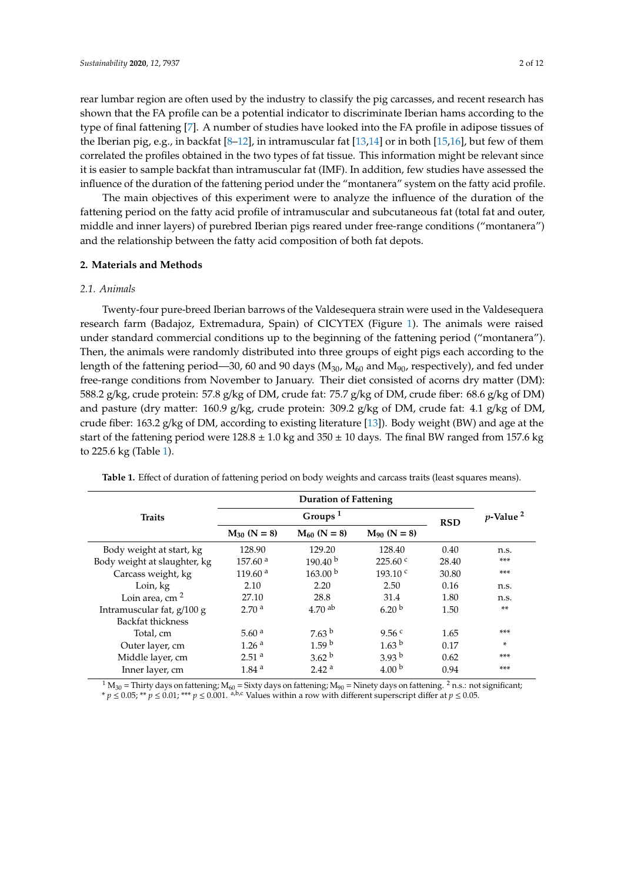rear lumbar region are often used by the industry to classify the pig carcasses, and recent research has shown that the FA profile can be a potential indicator to discriminate Iberian hams according to the type of final fattening [\[7\]](#page-9-6). A number of studies have looked into the FA profile in adipose tissues of the Iberian pig, e.g., in backfat [\[8–](#page-9-7)[12\]](#page-10-0), in intramuscular fat [\[13](#page-10-1)[,14\]](#page-10-2) or in both [\[15,](#page-10-3)[16\]](#page-10-4), but few of them correlated the profiles obtained in the two types of fat tissue. This information might be relevant since it is easier to sample backfat than intramuscular fat (IMF). In addition, few studies have assessed the influence of the duration of the fattening period under the "montanera" system on the fatty acid profile.

The main objectives of this experiment were to analyze the influence of the duration of the fattening period on the fatty acid profile of intramuscular and subcutaneous fat (total fat and outer, middle and inner layers) of purebred Iberian pigs reared under free-range conditions ("montanera") and the relationship between the fatty acid composition of both fat depots.

#### **2. Materials and Methods**

#### *2.1. Animals*

Twenty-four pure-breed Iberian barrows of the Valdesequera strain were used in the Valdesequera research farm (Badajoz, Extremadura, Spain) of CICYTEX (Figure [1\)](#page-2-0). The animals were raised under standard commercial conditions up to the beginning of the fattening period ("montanera"). Then, the animals were randomly distributed into three groups of eight pigs each according to the length of the fattening period—30, 60 and 90 days ( $M_{30}$ ,  $M_{60}$  and  $M_{90}$ , respectively), and fed under free-range conditions from November to January. Their diet consisted of acorns dry matter (DM): 588.2 g/kg, crude protein: 57.8 g/kg of DM, crude fat: 75.7 g/kg of DM, crude fiber: 68.6 g/kg of DM) and pasture (dry matter: 160.9 g/kg, crude protein: 309.2 g/kg of DM, crude fat: 4.1 g/kg of DM, crude fiber: 163.2 g/kg of DM, according to existing literature [\[13\]](#page-10-1)). Body weight (BW) and age at the start of the fattening period were  $128.8 \pm 1.0$  kg and  $350 \pm 10$  days. The final BW ranged from 157.6 kg to 225.6 kg (Table [1\)](#page-1-0).

| <b>Traits</b>                |                     | Groups $1$          | <b>RSD</b>          | $p$ -Value <sup>2</sup> |       |
|------------------------------|---------------------|---------------------|---------------------|-------------------------|-------|
|                              | $M_{30}$ (N = 8)    | $M_{60}$ (N = 8)    | $M_{90}$ (N = 8)    |                         |       |
| Body weight at start, kg     | 128.90              | 129.20              | 128.40              | 0.40                    | n.s.  |
| Body weight at slaughter, kg | 157.60 <sup>a</sup> | 190.40 <sup>b</sup> | $225.60^{\circ}$    | 28.40                   | $***$ |
| Carcass weight, kg           | 119.60 $a$          | 163.00 <sup>b</sup> | 193.10 <sup>c</sup> | 30.80                   | $***$ |
| Loin, kg                     | 2.10                | 2.20                | 2.50                | 0.16                    | n.s.  |
| Loin area, cm $2$            | 27.10               | 28.8                | 31.4                | 1.80                    | n.s.  |
| Intramuscular fat, $g/100 g$ | 2.70 <sup>a</sup>   | 4.70 <sup>ab</sup>  | 6.20 <sup>b</sup>   | 1.50                    | $***$ |
| Backfat thickness            |                     |                     |                     |                         |       |
| Total, cm                    | 5.60 $a$            | 7.63 <sup>b</sup>   | 9.56 <sup>c</sup>   | 1.65                    | ***   |
| Outer layer, cm              | 1.26 <sup>a</sup>   | 1.59 <sup>b</sup>   | 1.63 <sup>b</sup>   | 0.17                    | *     |
| Middle layer, cm             | 2.51 <sup>a</sup>   | 3.62 <sup>b</sup>   | 3.93 <sup>b</sup>   | 0.62                    | ***   |
| Inner layer, cm              | 1.84 <sup>a</sup>   | 2.42 <sup>a</sup>   | 4.00 <sup>b</sup>   | 0.94                    | ***   |

<span id="page-1-0"></span>**Table 1.** Effect of duration of fattening period on body weights and carcass traits (least squares means).

 $1 M_{30}$  = Thirty days on fattening; M<sub>60</sub> = Sixty days on fattening; M<sub>90</sub> = Ninety days on fattening. <sup>2</sup> n.s.: not significant; \* *p* ≤ 0.05; \*\* *p* ≤ 0.01; \*\*\* *p* ≤ 0.001. <sup>a,b,c</sup> Values within a row with different superscript differ at *p* ≤ 0.05.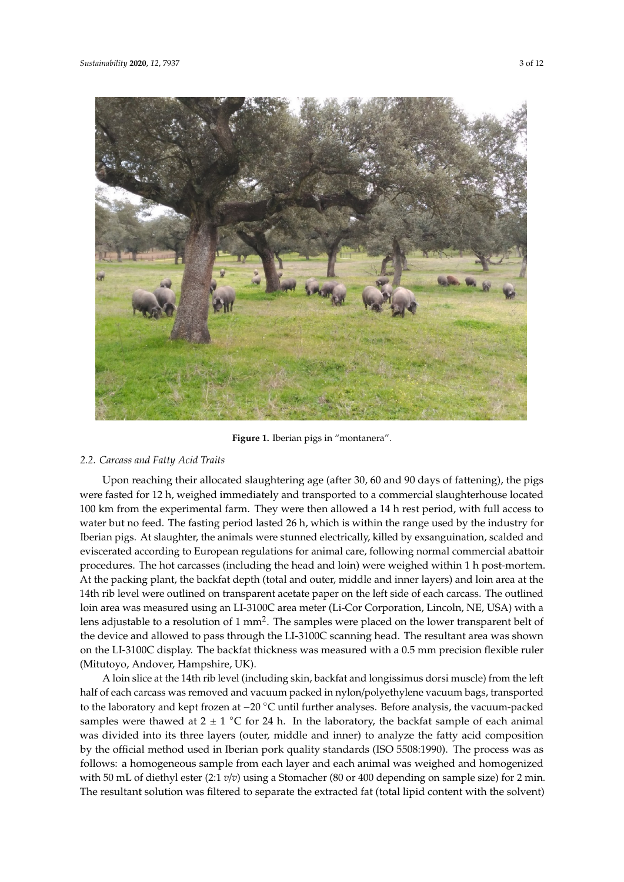<span id="page-2-0"></span>

**Figure 1.** Iberian pigs in "montanera". **Figure 1.** Iberian pigs in "montanera".

# *2.2. Carcass and Fatty Acid Traits 2.2. Carcass and Fatty Acid Traits*

Upon reaching their allocated slaughtering age (after 30, 60 and 90 days of fattening), the pigs Upon reaching their allocated slaughtering age (after 30, 60 and 90 days of fattening), the pigs were fasted for 12 h, weighed immediately and transported to a commercial slaughterhouse located were fasted for 12 h, weighed immediately and transported to a commercial slaughterhouse located 100 km from the experimental farm. They were then allowed a 14 h rest period, with full access to 100 km from the experimental farm. They were then allowed a 14 h rest period, with full access to water but no feed. The fasting period lasted 26 h, which is within the range used by the industry for water but no feed. The fasting period lasted 26 h, which is within the range used by the industry for Iberian pigs. At slaughter, the animals were stunned electrically, killed by exsanguination, scalded Iberian pigs. At slaughter, the animals were stunned electrically, killed by exsanguination, scalded and eviscerated according to European regulations for animal care, following normal commercial abattoir procedures. The hot carcasses (including the head and loin) were weighed within 1 h post-mortem. At the packing plant, the backfat depth (total and outer, middle and inner layers) and loin area at the 14th rib level were outlined on transparent acetate paper on the left side of each carcass. The outlined loin area was measured using an LI-3100C area meter (Li-Cor Corporation, Lincoln, NE, USA) with a lens adjustable to a resolution of 1 mm<sup>2</sup>. The samples were placed on the lower transparent belt of the device and allowed to pass through the LI-3100C scanning head. The resultant area was shown on the LI-3100C display. The backfat thickness was measured with a 0.5 mm precision flexible ruler (Mitutoyo, Andover, Hampshire, UK).

A loin slice at the 14th rib level (including skin, backfat and longissimus dorsi muscle) from the A loin slice at the 14th rib level (including skin, backfat and longissimus dorsi muscle) from the left half of each carcass was removed and vacuum packed in nylon/polyethylene vacuum bags, transported to the laboratory and kept frozen at −20 °C until further analyses. Before analysis, the vacuum-packed samples were thawed at  $2 \pm 1$  °C for 24 h. In the laboratory, the backfat sample of each animal samples were thawed at  $2 \pm 1$  °C for 24 h. In the laboratory, the backfat sample of each animal was divided into its three layers (outer, middle and inner) to analyze the fatty acid composition by the official method used in Iberian pork quality standards (ISO 5508:1990). The process was as follows: a homogeneous sample from each layer and each animal was weighed and homogenized with 50 mL of diethyl ester (2:1  $v/v$ ) using a Stomacher (80 or 400 depending on sample size) for 2 min. The resultant solution was filtered to separate the extracted fat (total lipid content with the solvent)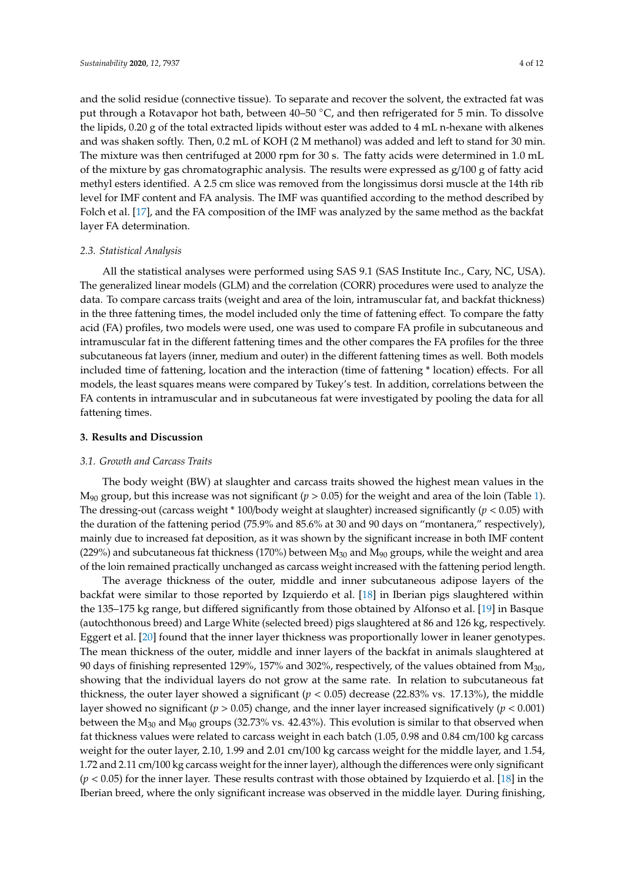and the solid residue (connective tissue). To separate and recover the solvent, the extracted fat was put through a Rotavapor hot bath, between 40–50 °C, and then refrigerated for 5 min. To dissolve the lipids, 0.20 g of the total extracted lipids without ester was added to 4 mL n-hexane with alkenes and was shaken softly. Then, 0.2 mL of KOH (2 M methanol) was added and left to stand for 30 min. The mixture was then centrifuged at 2000 rpm for 30 s. The fatty acids were determined in 1.0 mL of the mixture by gas chromatographic analysis. The results were expressed as  $g/100 g$  of fatty acid methyl esters identified. A 2.5 cm slice was removed from the longissimus dorsi muscle at the 14th rib level for IMF content and FA analysis. The IMF was quantified according to the method described by Folch et al. [\[17\]](#page-10-5), and the FA composition of the IMF was analyzed by the same method as the backfat layer FA determination.

#### *2.3. Statistical Analysis*

All the statistical analyses were performed using SAS 9.1 (SAS Institute Inc., Cary, NC, USA). The generalized linear models (GLM) and the correlation (CORR) procedures were used to analyze the data. To compare carcass traits (weight and area of the loin, intramuscular fat, and backfat thickness) in the three fattening times, the model included only the time of fattening effect. To compare the fatty acid (FA) profiles, two models were used, one was used to compare FA profile in subcutaneous and intramuscular fat in the different fattening times and the other compares the FA profiles for the three subcutaneous fat layers (inner, medium and outer) in the different fattening times as well. Both models included time of fattening, location and the interaction (time of fattening \* location) effects. For all models, the least squares means were compared by Tukey's test. In addition, correlations between the FA contents in intramuscular and in subcutaneous fat were investigated by pooling the data for all fattening times.

#### **3. Results and Discussion**

#### *3.1. Growth and Carcass Traits*

The body weight (BW) at slaughter and carcass traits showed the highest mean values in the M<sup>90</sup> group, but this increase was not significant (*p* > 0.05) for the weight and area of the loin (Table [1\)](#page-1-0). The dressing-out (carcass weight \* 100/body weight at slaughter) increased significantly (*p* < 0.05) with the duration of the fattening period (75.9% and 85.6% at 30 and 90 days on "montanera," respectively), mainly due to increased fat deposition, as it was shown by the significant increase in both IMF content (229%) and subcutaneous fat thickness (170%) between  $M_{30}$  and  $M_{90}$  groups, while the weight and area of the loin remained practically unchanged as carcass weight increased with the fattening period length.

The average thickness of the outer, middle and inner subcutaneous adipose layers of the backfat were similar to those reported by Izquierdo et al. [\[18\]](#page-10-6) in Iberian pigs slaughtered within the 135–175 kg range, but differed significantly from those obtained by Alfonso et al. [\[19\]](#page-10-7) in Basque (autochthonous breed) and Large White (selected breed) pigs slaughtered at 86 and 126 kg, respectively. Eggert et al. [\[20\]](#page-10-8) found that the inner layer thickness was proportionally lower in leaner genotypes. The mean thickness of the outer, middle and inner layers of the backfat in animals slaughtered at 90 days of finishing represented 129%, 157% and 302%, respectively, of the values obtained from  $M_{30}$ , showing that the individual layers do not grow at the same rate. In relation to subcutaneous fat thickness, the outer layer showed a significant ( $p < 0.05$ ) decrease (22.83% vs. 17.13%), the middle layer showed no significant (*p* > 0.05) change, and the inner layer increased significatively (*p* < 0.001) between the  $M_{30}$  and  $M_{90}$  groups (32.73% vs. 42.43%). This evolution is similar to that observed when fat thickness values were related to carcass weight in each batch (1.05, 0.98 and 0.84 cm/100 kg carcass weight for the outer layer, 2.10, 1.99 and 2.01 cm/100 kg carcass weight for the middle layer, and 1.54, 1.72 and 2.11 cm/100 kg carcass weight for the inner layer), although the differences were only significant (*p* < 0.05) for the inner layer. These results contrast with those obtained by Izquierdo et al. [\[18\]](#page-10-6) in the Iberian breed, where the only significant increase was observed in the middle layer. During finishing,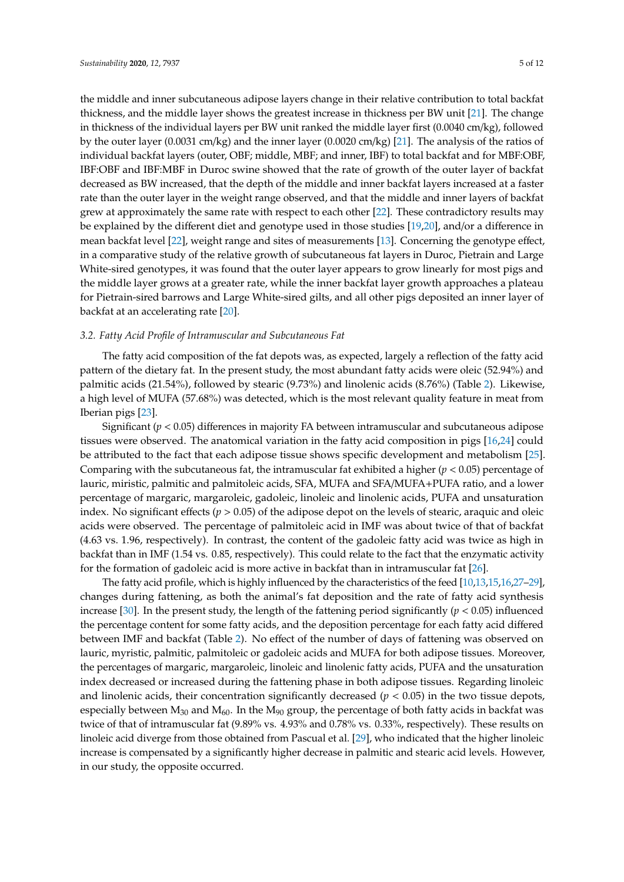the middle and inner subcutaneous adipose layers change in their relative contribution to total backfat thickness, and the middle layer shows the greatest increase in thickness per BW unit [\[21\]](#page-10-9). The change in thickness of the individual layers per BW unit ranked the middle layer first (0.0040 cm/kg), followed by the outer layer (0.0031 cm/kg) and the inner layer (0.0020 cm/kg) [\[21\]](#page-10-9). The analysis of the ratios of individual backfat layers (outer, OBF; middle, MBF; and inner, IBF) to total backfat and for MBF:OBF, IBF:OBF and IBF:MBF in Duroc swine showed that the rate of growth of the outer layer of backfat decreased as BW increased, that the depth of the middle and inner backfat layers increased at a faster rate than the outer layer in the weight range observed, and that the middle and inner layers of backfat grew at approximately the same rate with respect to each other [\[22\]](#page-10-10). These contradictory results may be explained by the different diet and genotype used in those studies [\[19,](#page-10-7)[20\]](#page-10-8), and/or a difference in mean backfat level [\[22\]](#page-10-10), weight range and sites of measurements [\[13\]](#page-10-1). Concerning the genotype effect, in a comparative study of the relative growth of subcutaneous fat layers in Duroc, Pietrain and Large White-sired genotypes, it was found that the outer layer appears to grow linearly for most pigs and the middle layer grows at a greater rate, while the inner backfat layer growth approaches a plateau for Pietrain-sired barrows and Large White-sired gilts, and all other pigs deposited an inner layer of backfat at an accelerating rate [\[20\]](#page-10-8).

#### *3.2. Fatty Acid Profile of Intramuscular and Subcutaneous Fat*

The fatty acid composition of the fat depots was, as expected, largely a reflection of the fatty acid pattern of the dietary fat. In the present study, the most abundant fatty acids were oleic (52.94%) and palmitic acids (21.54%), followed by stearic (9.73%) and linolenic acids (8.76%) (Table [2\)](#page-6-0). Likewise, a high level of MUFA (57.68%) was detected, which is the most relevant quality feature in meat from Iberian pigs [\[23\]](#page-10-11).

Significant (*p* < 0.05) differences in majority FA between intramuscular and subcutaneous adipose tissues were observed. The anatomical variation in the fatty acid composition in pigs [\[16](#page-10-4)[,24\]](#page-10-12) could be attributed to the fact that each adipose tissue shows specific development and metabolism [\[25\]](#page-10-13). Comparing with the subcutaneous fat, the intramuscular fat exhibited a higher (*p* < 0.05) percentage of lauric, miristic, palmitic and palmitoleic acids, SFA, MUFA and SFA/MUFA+PUFA ratio, and a lower percentage of margaric, margaroleic, gadoleic, linoleic and linolenic acids, PUFA and unsaturation index. No significant effects ( $p > 0.05$ ) of the adipose depot on the levels of stearic, araquic and oleic acids were observed. The percentage of palmitoleic acid in IMF was about twice of that of backfat (4.63 vs. 1.96, respectively). In contrast, the content of the gadoleic fatty acid was twice as high in backfat than in IMF (1.54 vs. 0.85, respectively). This could relate to the fact that the enzymatic activity for the formation of gadoleic acid is more active in backfat than in intramuscular fat [\[26\]](#page-10-14).

The fatty acid profile, which is highly influenced by the characteristics of the feed [\[10](#page-10-15)[,13,](#page-10-1)[15,](#page-10-3)[16,](#page-10-4)[27–](#page-10-16)[29\]](#page-11-0), changes during fattening, as both the animal's fat deposition and the rate of fatty acid synthesis increase [\[30\]](#page-11-1). In the present study, the length of the fattening period significantly  $(p < 0.05)$  influenced the percentage content for some fatty acids, and the deposition percentage for each fatty acid differed between IMF and backfat (Table [2\)](#page-6-0). No effect of the number of days of fattening was observed on lauric, myristic, palmitic, palmitoleic or gadoleic acids and MUFA for both adipose tissues. Moreover, the percentages of margaric, margaroleic, linoleic and linolenic fatty acids, PUFA and the unsaturation index decreased or increased during the fattening phase in both adipose tissues. Regarding linoleic and linolenic acids, their concentration significantly decreased ( $p < 0.05$ ) in the two tissue depots, especially between  $M_{30}$  and  $M_{60}$ . In the  $M_{90}$  group, the percentage of both fatty acids in backfat was twice of that of intramuscular fat (9.89% vs. 4.93% and 0.78% vs. 0.33%, respectively). These results on linoleic acid diverge from those obtained from Pascual et al. [\[29\]](#page-11-0), who indicated that the higher linoleic increase is compensated by a significantly higher decrease in palmitic and stearic acid levels. However, in our study, the opposite occurred.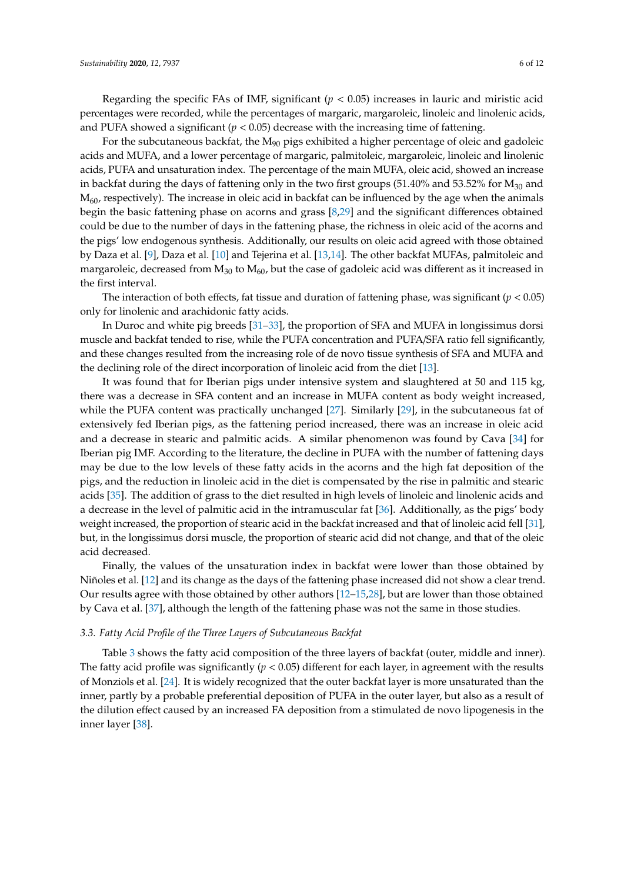Regarding the specific FAs of IMF, significant  $(p < 0.05)$  increases in lauric and miristic acid percentages were recorded, while the percentages of margaric, margaroleic, linoleic and linolenic acids, and PUFA showed a significant  $(p < 0.05)$  decrease with the increasing time of fattening.

For the subcutaneous backfat, the  $M_{90}$  pigs exhibited a higher percentage of oleic and gadoleic acids and MUFA, and a lower percentage of margaric, palmitoleic, margaroleic, linoleic and linolenic acids, PUFA and unsaturation index. The percentage of the main MUFA, oleic acid, showed an increase in backfat during the days of fattening only in the two first groups  $(51.40\%$  and  $53.52\%$  for  $M_{30}$  and  $M_{60}$ , respectively). The increase in oleic acid in backfat can be influenced by the age when the animals begin the basic fattening phase on acorns and grass [\[8,](#page-9-7)[29\]](#page-11-0) and the significant differences obtained could be due to the number of days in the fattening phase, the richness in oleic acid of the acorns and the pigs' low endogenous synthesis. Additionally, our results on oleic acid agreed with those obtained by Daza et al. [\[9\]](#page-10-17), Daza et al. [\[10\]](#page-10-15) and Tejerina et al. [\[13,](#page-10-1)[14\]](#page-10-2). The other backfat MUFAs, palmitoleic and margaroleic, decreased from  $M_{30}$  to  $M_{60}$ , but the case of gadoleic acid was different as it increased in the first interval.

The interaction of both effects, fat tissue and duration of fattening phase, was significant  $(p < 0.05)$ only for linolenic and arachidonic fatty acids.

In Duroc and white pig breeds [\[31](#page-11-2)[–33\]](#page-11-3), the proportion of SFA and MUFA in longissimus dorsi muscle and backfat tended to rise, while the PUFA concentration and PUFA/SFA ratio fell significantly, and these changes resulted from the increasing role of de novo tissue synthesis of SFA and MUFA and the declining role of the direct incorporation of linoleic acid from the diet [\[13\]](#page-10-1).

It was found that for Iberian pigs under intensive system and slaughtered at 50 and 115 kg, there was a decrease in SFA content and an increase in MUFA content as body weight increased, while the PUFA content was practically unchanged [\[27\]](#page-10-16). Similarly [\[29\]](#page-11-0), in the subcutaneous fat of extensively fed Iberian pigs, as the fattening period increased, there was an increase in oleic acid and a decrease in stearic and palmitic acids. A similar phenomenon was found by Cava [\[34\]](#page-11-4) for Iberian pig IMF. According to the literature, the decline in PUFA with the number of fattening days may be due to the low levels of these fatty acids in the acorns and the high fat deposition of the pigs, and the reduction in linoleic acid in the diet is compensated by the rise in palmitic and stearic acids [\[35\]](#page-11-5). The addition of grass to the diet resulted in high levels of linoleic and linolenic acids and a decrease in the level of palmitic acid in the intramuscular fat [\[36\]](#page-11-6). Additionally, as the pigs' body weight increased, the proportion of stearic acid in the backfat increased and that of linoleic acid fell [\[31\]](#page-11-2), but, in the longissimus dorsi muscle, the proportion of stearic acid did not change, and that of the oleic acid decreased.

Finally, the values of the unsaturation index in backfat were lower than those obtained by Niñoles et al. [\[12\]](#page-10-0) and its change as the days of the fattening phase increased did not show a clear trend. Our results agree with those obtained by other authors [\[12](#page-10-0)[–15,](#page-10-3)[28\]](#page-10-18), but are lower than those obtained by Cava et al. [\[37\]](#page-11-7), although the length of the fattening phase was not the same in those studies.

#### *3.3. Fatty Acid Profile of the Three Layers of Subcutaneous Backfat*

Table [3](#page-8-0) shows the fatty acid composition of the three layers of backfat (outer, middle and inner). The fatty acid profile was significantly  $(p < 0.05)$  different for each layer, in agreement with the results of Monziols et al. [\[24\]](#page-10-12). It is widely recognized that the outer backfat layer is more unsaturated than the inner, partly by a probable preferential deposition of PUFA in the outer layer, but also as a result of the dilution effect caused by an increased FA deposition from a stimulated de novo lipogenesis in the inner layer [\[38\]](#page-11-8).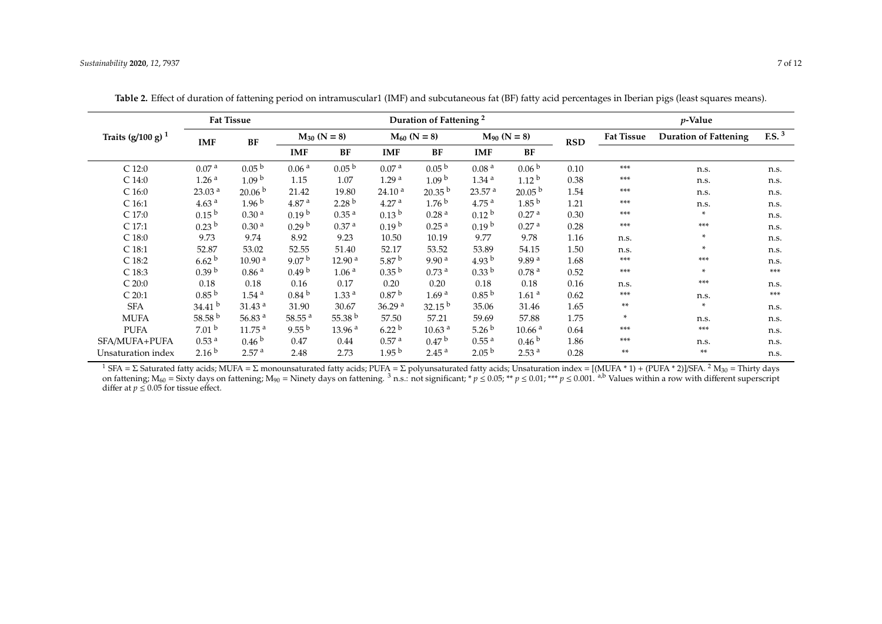|                      | Duration of Fattening <sup>2</sup> |                    |                      |                    |                    |                    | $p$ -Value         |                    |            |                   |                              |                     |
|----------------------|------------------------------------|--------------------|----------------------|--------------------|--------------------|--------------------|--------------------|--------------------|------------|-------------------|------------------------------|---------------------|
| Traits $(g/100 g)^1$ | <b>IMF</b>                         | BF                 | $M_{30}$ (N = 8)     |                    | $M_{60}$ (N = 8)   |                    | $M_{90}$ (N = 8)   |                    | <b>RSD</b> | <b>Fat Tissue</b> | <b>Duration of Fattening</b> | $F.S.$ <sup>3</sup> |
|                      |                                    |                    | <b>IMF</b>           | BF                 | <b>IMF</b>         | BF                 | <b>IMF</b>         | BF                 |            |                   |                              |                     |
| $C$ 12:0             | 0.07 <sup>a</sup>                  | 0.05 <sup>b</sup>  | 0.06 <sup>a</sup>    | 0.05 <sup>b</sup>  | 0.07 <sup>a</sup>  | 0.05 <sup>b</sup>  | 0.08 <sup>a</sup>  | 0.06 <sup>b</sup>  | 0.10       | $***$             | n.s.                         | n.s.                |
| C <sub>14:0</sub>    | 1.26 <sup>a</sup>                  | 1.09 <sup>b</sup>  | 1.15                 | 1.07               | 1.29 <sup>a</sup>  | 1.09 <sup>b</sup>  | 1.34 <sup>a</sup>  | 1.12 <sup>b</sup>  | 0.38       | ***               | n.s.                         | n.s.                |
| C <sub>16:0</sub>    | 23.03 <sup>a</sup>                 | 20.06 <sup>b</sup> | 21.42                | 19.80              | 24.10 <sup>a</sup> | $20.35^{b}$        | 23.57 <sup>a</sup> | 20.05 <sup>b</sup> | 1.54       | ***               | n.s.                         | n.s.                |
| C <sub>16:1</sub>    | 4.63 <sup>a</sup>                  | 1.96 <sup>b</sup>  | 4.87 <sup>a</sup>    | 2.28 <sup>b</sup>  | 4.27 <sup>a</sup>  | 1.76 <sup>b</sup>  | 4.75 <sup>a</sup>  | 1.85 <sup>b</sup>  | 1.21       | ***               | n.s.                         | n.s.                |
| $C$ 17:0             | 0.15 <sup>b</sup>                  | 0.30 <sup>a</sup>  | 0.19 <sup>b</sup>    | 0.35 <sup>a</sup>  | 0.13 <sup>b</sup>  | 0.28 <sup>a</sup>  | 0.12 <sup>b</sup>  | 0.27 <sup>a</sup>  | 0.30       | ***               | $\ast$                       | n.s.                |
| C 17:1               | 0.23 <sup>b</sup>                  | 0.30 <sup>a</sup>  | 0.29 <sup>b</sup>    | 0.37 <sup>a</sup>  | 0.19 <sup>b</sup>  | 0.25 <sup>a</sup>  | 0.19 <sup>b</sup>  | 0.27 <sup>a</sup>  | 0.28       | ***               | $***$                        | n.s.                |
| $C$ 18:0             | 9.73                               | 9.74               | 8.92                 | 9.23               | 10.50              | 10.19              | 9.77               | 9.78               | 1.16       | n.s.              | ×.                           | n.s.                |
| C <sub>18:1</sub>    | 52.87                              | 53.02              | 52.55                | 51.40              | 52.17              | 53.52              | 53.89              | 54.15              | 1.50       | n.s.              | ×.                           | n.s.                |
| C <sub>18:2</sub>    | 6.62 <sup>b</sup>                  | 10.90 <sup>a</sup> | 9.07 $^{\rm b}$      | 12.90 <sup>a</sup> | 5.87 $^{\rm b}$    | 9.90 <sup>a</sup>  | 4.93 $^{\rm b}$    | 9.89 <sup>a</sup>  | 1.68       | ***               | ***                          | n.s.                |
| C <sub>18:3</sub>    | 0.39 <sup>b</sup>                  | 0.86 <sup>a</sup>  | 0.49 <sup>b</sup>    | 1.06 <sup>a</sup>  | 0.35 <sup>b</sup>  | 0.73 <sup>a</sup>  | 0.33 <sup>b</sup>  | 0.78 <sup>a</sup>  | 0.52       | ***               | ×.                           | ***                 |
| C 20:0               | 0.18                               | 0.18               | 0.16                 | 0.17               | 0.20               | 0.20               | 0.18               | 0.18               | 0.16       | n.s.              | ***                          | n.s.                |
| C20:1                | 0.85 <sup>b</sup>                  | 1.54 <sup>a</sup>  | 0.84 <sup>b</sup>    | 1.33 <sup>a</sup>  | 0.87 <sup>b</sup>  | 1.69 <sup>a</sup>  | 0.85 <sup>b</sup>  | 1.61 <sup>a</sup>  | 0.62       | ***               | n.s.                         | ***                 |
| <b>SFA</b>           | 34.41 <sup>b</sup>                 | 31.43 <sup>a</sup> | 31.90                | 30.67              | 36.29 <sup>a</sup> | $32.15^{b}$        | 35.06              | 31.46              | 1.65       | **                | $\ast$                       | n.s.                |
| <b>MUFA</b>          | 58.58 $b$                          | 56.83 $a$          | $58.55$ <sup>a</sup> | 55.38 $b$          | 57.50              | 57.21              | 59.69              | 57.88              | 1.75       | ×.                | n.s.                         | n.s.                |
| <b>PUFA</b>          | 7.01 <sup>b</sup>                  | 11.75 <sup>a</sup> | 9.55 <sup>b</sup>    | 13.96 <sup>a</sup> | 6.22 <sup>b</sup>  | 10.63 <sup>a</sup> | 5.26 <sup>b</sup>  | 10.66 <sup>a</sup> | 0.64       | ***               | ***                          | n.s.                |
| SFA/MUFA+PUFA        | 0.53 <sup>a</sup>                  | 0.46 <sup>b</sup>  | 0.47                 | 0.44               | 0.57 <sup>a</sup>  | 0.47 <sup>b</sup>  | 0.55 <sup>a</sup>  | 0.46 <sup>b</sup>  | 1.86       | ***               | n.s.                         | n.s.                |
| Unsaturation index   | 2.16 <sup>b</sup>                  | 2.57 <sup>a</sup>  | 2.48                 | 2.73               | 1.95 <sup>b</sup>  | 2.45 <sup>a</sup>  | 2.05 <sup>b</sup>  | 2.53 <sup>a</sup>  | 0.28       | **                | **                           | n.s.                |

**Table 2.** Effect of duration of fattening period on intramuscular1 (IMF) and subcutaneous fat (BF) fatty acid percentages in Iberian pigs (least squares means).

<span id="page-6-0"></span><sup>1</sup> SFA = Σ Saturated fatty acids; MUFA = Σ monounsaturated fatty acids; PUFA = Σ polyunsaturated fatty acids; Unsaturation index = [(MUFA \* 1) + (PUFA \* 2)]/SFA. <sup>2</sup> M<sub>30</sub> = Thirty days on fattening; M<sub>60</sub> = Sixty days on fattening; M<sub>90</sub> = Ninety days on fattening. <sup>3</sup> n.s.: not significant; \* *p* ≤ 0.05; \*\* *p* ≤ 0.01; \*\*\* *p* ≤ 0.001. <sup>a,b</sup> Values within a row with different superscript differ at  $p \leq 0.05$  for tissue effect.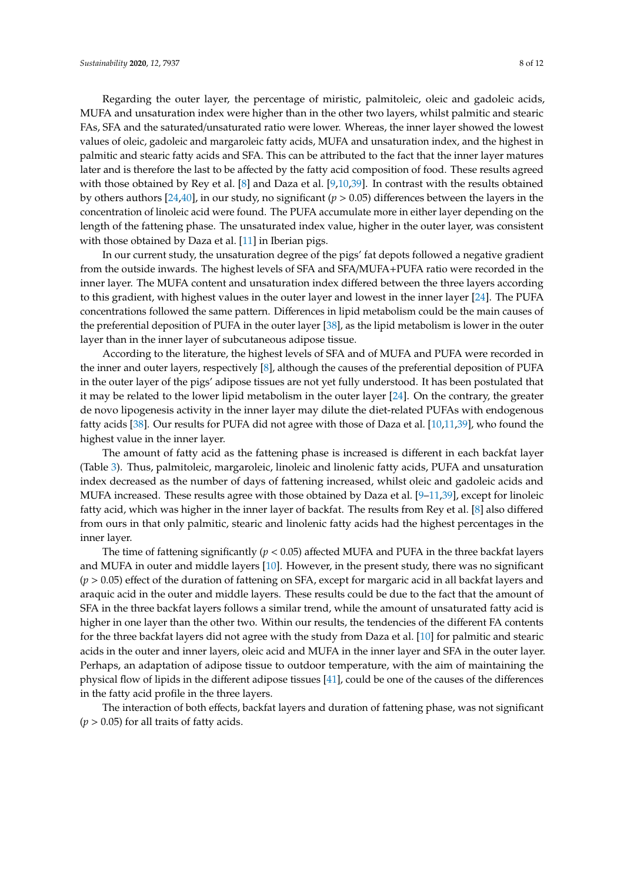Regarding the outer layer, the percentage of miristic, palmitoleic, oleic and gadoleic acids, MUFA and unsaturation index were higher than in the other two layers, whilst palmitic and stearic FAs, SFA and the saturated/unsaturated ratio were lower. Whereas, the inner layer showed the lowest values of oleic, gadoleic and margaroleic fatty acids, MUFA and unsaturation index, and the highest in palmitic and stearic fatty acids and SFA. This can be attributed to the fact that the inner layer matures later and is therefore the last to be affected by the fatty acid composition of food. These results agreed with those obtained by Rey et al. [\[8\]](#page-9-7) and Daza et al. [\[9,](#page-10-17)[10,](#page-10-15)[39\]](#page-11-9). In contrast with the results obtained by others authors [\[24](#page-10-12)[,40\]](#page-11-10), in our study, no significant (*p* > 0.05) differences between the layers in the concentration of linoleic acid were found. The PUFA accumulate more in either layer depending on the length of the fattening phase. The unsaturated index value, higher in the outer layer, was consistent with those obtained by Daza et al. [\[11\]](#page-10-19) in Iberian pigs.

In our current study, the unsaturation degree of the pigs' fat depots followed a negative gradient from the outside inwards. The highest levels of SFA and SFA/MUFA+PUFA ratio were recorded in the inner layer. The MUFA content and unsaturation index differed between the three layers according to this gradient, with highest values in the outer layer and lowest in the inner layer [\[24\]](#page-10-12). The PUFA concentrations followed the same pattern. Differences in lipid metabolism could be the main causes of the preferential deposition of PUFA in the outer layer [\[38\]](#page-11-8), as the lipid metabolism is lower in the outer layer than in the inner layer of subcutaneous adipose tissue.

According to the literature, the highest levels of SFA and of MUFA and PUFA were recorded in the inner and outer layers, respectively [\[8\]](#page-9-7), although the causes of the preferential deposition of PUFA in the outer layer of the pigs' adipose tissues are not yet fully understood. It has been postulated that it may be related to the lower lipid metabolism in the outer layer [\[24\]](#page-10-12). On the contrary, the greater de novo lipogenesis activity in the inner layer may dilute the diet-related PUFAs with endogenous fatty acids [\[38\]](#page-11-8). Our results for PUFA did not agree with those of Daza et al. [\[10,](#page-10-15)[11](#page-10-19)[,39\]](#page-11-9), who found the highest value in the inner layer.

The amount of fatty acid as the fattening phase is increased is different in each backfat layer (Table [3\)](#page-8-0). Thus, palmitoleic, margaroleic, linoleic and linolenic fatty acids, PUFA and unsaturation index decreased as the number of days of fattening increased, whilst oleic and gadoleic acids and MUFA increased. These results agree with those obtained by Daza et al. [\[9](#page-10-17)[–11](#page-10-19)[,39\]](#page-11-9), except for linoleic fatty acid, which was higher in the inner layer of backfat. The results from Rey et al. [\[8\]](#page-9-7) also differed from ours in that only palmitic, stearic and linolenic fatty acids had the highest percentages in the inner layer.

The time of fattening significantly (*p* < 0.05) affected MUFA and PUFA in the three backfat layers and MUFA in outer and middle layers [\[10\]](#page-10-15). However, in the present study, there was no significant (*p* > 0.05) effect of the duration of fattening on SFA, except for margaric acid in all backfat layers and araquic acid in the outer and middle layers. These results could be due to the fact that the amount of SFA in the three backfat layers follows a similar trend, while the amount of unsaturated fatty acid is higher in one layer than the other two. Within our results, the tendencies of the different FA contents for the three backfat layers did not agree with the study from Daza et al. [\[10\]](#page-10-15) for palmitic and stearic acids in the outer and inner layers, oleic acid and MUFA in the inner layer and SFA in the outer layer. Perhaps, an adaptation of adipose tissue to outdoor temperature, with the aim of maintaining the physical flow of lipids in the different adipose tissues [\[41\]](#page-11-11), could be one of the causes of the differences in the fatty acid profile in the three layers.

The interaction of both effects, backfat layers and duration of fattening phase, was not significant  $(p > 0.05)$  for all traits of fatty acids.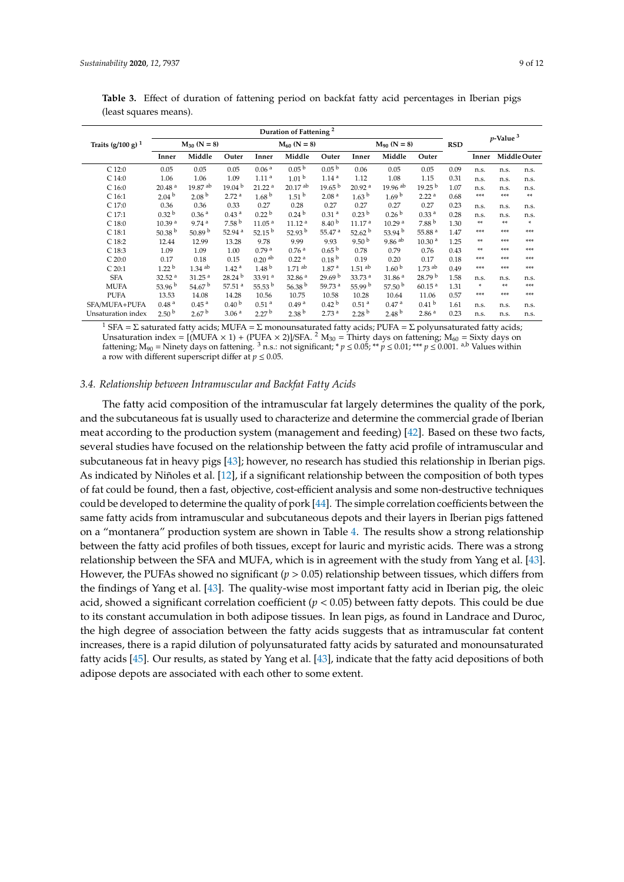|                      | Duration of Fattening <sup>2</sup> |                      |                      |                    |                       |                    |                      |                       |                      |            | $p$ -Value $3$ |      |              |
|----------------------|------------------------------------|----------------------|----------------------|--------------------|-----------------------|--------------------|----------------------|-----------------------|----------------------|------------|----------------|------|--------------|
| Traits $(g/100 g)^1$ |                                    | $M_{30}$ (N = 8)     |                      |                    | $M_{60}$ (N = 8)      |                    | $M_{90}$ (N = 8)     |                       |                      | <b>RSD</b> |                |      |              |
|                      | Inner                              | Middle               | Outer                | Inner              | Middle                | Outer              | Inner                | Middle                | Outer                |            | Inner          |      | Middle Outer |
| $C$ 12:0             | 0.05                               | 0.05                 | 0.05                 | 0.06 <sup>a</sup>  | $0.05^{b}$            | 0.05 <sup>b</sup>  | 0.06                 | 0.05                  | 0.05                 | 0.09       | n.s.           | n.s. | n.s.         |
| C <sub>14:0</sub>    | 1.06                               | 1.06                 | 1.09                 | 1.11 <sup>a</sup>  | 1.01 <sup>b</sup>     | 1.14 <sup>a</sup>  | 1.12                 | 1.08                  | 1.15                 | 0.31       | n.s.           | n.s. | n.s.         |
| C <sub>16:0</sub>    | 20.48 <sup>a</sup>                 | 19.87 <sup> ab</sup> | 19.04 <sup>b</sup>   | 21.22 <sup>a</sup> | $20.17$ <sup>ab</sup> | 19.65 <sup>b</sup> | 20.92 <sup>a</sup>   | $19.96$ <sup>ab</sup> | 19.25 <sup>b</sup>   | 1.07       | n.s.           | n.s. | n.s.         |
| C <sub>16:1</sub>    | 2.04 <sup>b</sup>                  | 2.08 <sup>b</sup>    | 2.72 <sup>a</sup>    | 1.68 <sup>b</sup>  | 1.51 <sup>b</sup>     | 2.08 <sup>a</sup>  | 1.63 <sup>b</sup>    | 1.69 <sup>b</sup>     | 2.22 <sup>a</sup>    | 0.68       | ***            | ***  | **           |
| C 17:0               | 0.36                               | 0.36                 | 0.33                 | 0.27               | 0.28                  | 0.27               | 0.27                 | 0.27                  | 0.27                 | 0.23       | n.s.           | n.s. | n.s.         |
| $C$ 17:1             | 0.32 <sup>b</sup>                  | 0.36 <sup>a</sup>    | 0.43 <sup>a</sup>    | 0.22 <sup>b</sup>  | 0.24 <sup>b</sup>     | 0.31 <sup>a</sup>  | 0.23 <sup>b</sup>    | 0.26 <sup>b</sup>     | 0.33 <sup>a</sup>    | 0.28       | n.s.           | n.s. | n.s.         |
| $C$ 18:0             | 10.39 <sup>a</sup>                 | 9.74 <sup>a</sup>    | 7.58 <sup>b</sup>    | 11.05 <sup>a</sup> | 11.12 <sup>a</sup>    | 8.40 <sup>b</sup>  | 11.17 <sup>a</sup>   | 10.29 <sup>a</sup>    | 7.88 <sup>b</sup>    | 1.30       | **             | **   | $*$          |
| $C$ 18:1             | 50.38 <sup>b</sup>                 | 50.89 $^{\rm b}$     | 52.94 <sup>a</sup>   | 52.15 $^{\rm b}$   | 52.93 b               | 55.47 <sup>a</sup> | 52.62 $^{\rm b}$     | 53.94 $^{\rm b}$      | 55.88 <sup>a</sup>   | 1.47       | ***            | ***  | ***          |
| $C$ 18:2             | 12.44                              | 12.99                | 13.28                | 9.78               | 9.99                  | 9.93               | 9.50 $^{\rm b}$      | $9.86$ <sup>ab</sup>  | 10.30 <sup>a</sup>   | 1.25       | **             | ***  | ***          |
| $C$ 18:3             | 1.09                               | 1.09                 | 1.00                 | 0.79 <sup>a</sup>  | 0.76 <sup>a</sup>     | 0.65 <sup>b</sup>  | 0.78                 | 0.79                  | 0.76                 | 0.43       | **             | ***  | ***          |
| C 20:0               | 0.17                               | 0.18                 | 0.15                 | 0.20 <sup>ab</sup> | 0.22 <sup>a</sup>     | 0.18 <sup>b</sup>  | 0.19                 | 0.20                  | 0.17                 | 0.18       | ***            | ***  | ***          |
| C20:1                | 1.22 <sup>b</sup>                  | $1.34$ <sup>ab</sup> | 1.42 <sup>a</sup>    | 1.48 <sup>b</sup>  | $1.71$ ab             | 1.87 <sup>a</sup>  | $1.51$ <sup>ab</sup> | 1.60 <sup>b</sup>     | $1.73$ <sup>ab</sup> | 0.49       | ***            | ***  | ***          |
| <b>SFA</b>           | 32.52 <sup>a</sup>                 | 31.25 <sup>a</sup>   | 28.24 <sup>b</sup>   | 33.91 <sup>a</sup> | 32.86 <sup>a</sup>    | 29.69 <sup>b</sup> | 33.73 <sup>a</sup>   | 31.86 <sup>a</sup>    | 28.79 <sup>b</sup>   | 1.58       | n.s.           | n.s. | n.s.         |
| <b>MUFA</b>          | 53.96 $^{\rm b}$                   | 54.67 $^{\rm b}$     | $57.51$ <sup>a</sup> | 55.53 $^{\rm b}$   | 56.38 <sup>b</sup>    | 59.73 <sup>a</sup> | 55.99 $b$            | 57.50 $^{\rm b}$      | 60.15 <sup>a</sup>   | 1.31       | *              | **   | ***          |
| <b>PUFA</b>          | 13.53                              | 14.08                | 14.28                | 10.56              | 10.75                 | 10.58              | 10.28                | 10.64                 | 11.06                | 0.57       | ***            | ***  | $***$        |
| SFA/MUFA+PUFA        | 0.48 <sup>a</sup>                  | 0.45 <sup>a</sup>    | 0.40 <sup>b</sup>    | 0.51 <sup>a</sup>  | 0.49 <sup>a</sup>     | 0.42 <sup>b</sup>  | 0.51 <sup>a</sup>    | 0.47 <sup>a</sup>     | 0.41 <sup>b</sup>    | 1.61       | n.s.           | n.s. | n.s.         |
| Unsaturation index   | 2.50 <sup>b</sup>                  | 2.67 <sup>b</sup>    | 3.06 <sup>a</sup>    | 2.27 <sup>b</sup>  | 2.38 <sup>b</sup>     | 2.73 <sup>a</sup>  | 2.28 <sup>b</sup>    | 2.48 <sup>b</sup>     | 2.86 <sup>a</sup>    | 0.23       | n.s.           | n.s. | n.s.         |

<span id="page-8-0"></span>**Table 3.** Effect of duration of fattening period on backfat fatty acid percentages in Iberian pigs (least squares means).

<sup>1</sup> SFA = Σ saturated fatty acids; MUFA = Σ monounsaturated fatty acids; PUFA = Σ polyunsaturated fatty acids; Unsaturation index =  $[(MUFA \times 1) + (PUFA \times 2)]/SFA$ . <sup>2</sup> M<sub>30</sub> = Thirty days on fattening; M<sub>60</sub> = Sixty days on fattening; M<sub>90</sub> = Ninety days on fattening. <sup>3</sup> n.s.: not significant; \*  $p \le 0.05$ ; \*\*  $p \le 0.01$ ; \*\*\*  $p \le 0.001$ . <sup>a,b</sup> Values within a row with different superscript differ at  $p \leq 0.05$ .

#### *3.4. Relationship between Intramuscular and Backfat Fatty Acids*

The fatty acid composition of the intramuscular fat largely determines the quality of the pork, and the subcutaneous fat is usually used to characterize and determine the commercial grade of Iberian meat according to the production system (management and feeding) [\[42\]](#page-11-12). Based on these two facts, several studies have focused on the relationship between the fatty acid profile of intramuscular and subcutaneous fat in heavy pigs [\[43\]](#page-11-13); however, no research has studied this relationship in Iberian pigs. As indicated by Niñoles et al. [\[12\]](#page-10-0), if a significant relationship between the composition of both types of fat could be found, then a fast, objective, cost-efficient analysis and some non-destructive techniques could be developed to determine the quality of pork [\[44\]](#page-11-14). The simple correlation coefficients between the same fatty acids from intramuscular and subcutaneous depots and their layers in Iberian pigs fattened on a "montanera" production system are shown in Table [4.](#page-9-8) The results show a strong relationship between the fatty acid profiles of both tissues, except for lauric and myristic acids. There was a strong relationship between the SFA and MUFA, which is in agreement with the study from Yang et al. [\[43\]](#page-11-13). However, the PUFAs showed no significant ( $p > 0.05$ ) relationship between tissues, which differs from the findings of Yang et al. [\[43\]](#page-11-13). The quality-wise most important fatty acid in Iberian pig, the oleic acid, showed a significant correlation coefficient ( $p < 0.05$ ) between fatty depots. This could be due to its constant accumulation in both adipose tissues. In lean pigs, as found in Landrace and Duroc, the high degree of association between the fatty acids suggests that as intramuscular fat content increases, there is a rapid dilution of polyunsaturated fatty acids by saturated and monounsaturated fatty acids [\[45\]](#page-11-15). Our results, as stated by Yang et al. [\[43\]](#page-11-13), indicate that the fatty acid depositions of both adipose depots are associated with each other to some extent.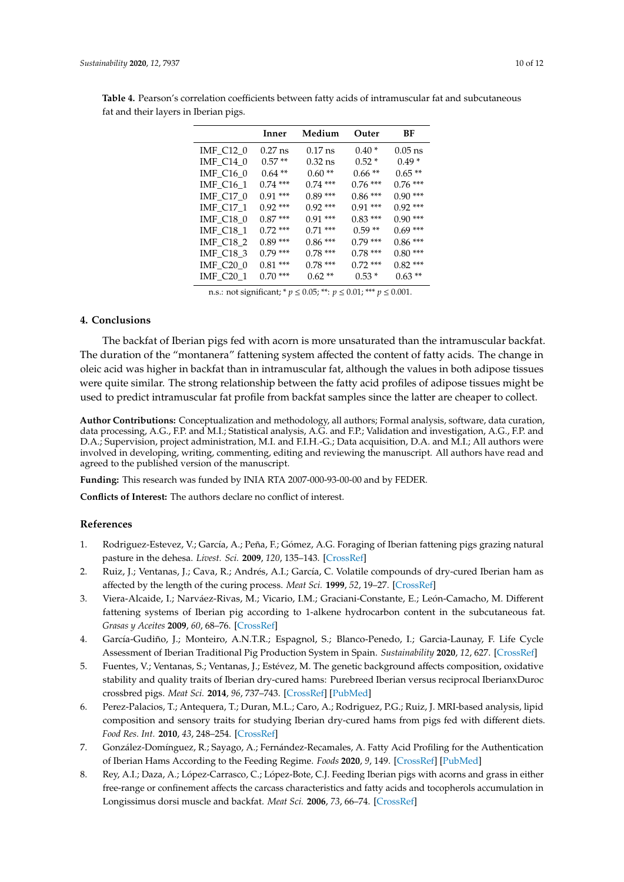|           | Inner             | Medium    | Outer      | ВF        |
|-----------|-------------------|-----------|------------|-----------|
| IMF_C12_0 | $0.27 \text{ ns}$ | $0.17$ ns | $0.40*$    | $0.05$ ns |
| IMF_C14_0 | $0.57**$          | $0.32$ ns | $0.52*$    | $0.49*$   |
| IMF C16 0 | $0.64**$          | $0.60**$  | $0.66**$   | $0.65**$  |
| IMF_C16_1 | $0.74***$         | $0.74***$ | $0.76***$  | $0.76***$ |
| IMF_C17_0 | $0.91***$         | $0.89***$ | $0.86***$  | $0.90***$ |
| IMF_C17_1 | $0.92***$         | $0.92***$ | $0.91***$  | $0.92***$ |
| IMF_C18_0 | $0.87***$         | $0.91***$ | $0.83***$  | $0.90***$ |
| IMF_C18_1 | $0.72***$         | $0.71***$ | $0.59**$   | $0.69***$ |
| IMF_C18_2 | $0.89***$         | $0.86***$ | $0.79***$  | $0.86***$ |
| IMF_C18_3 | $0.79***$         | $0.78***$ | $0.78***$  | $0.80***$ |
| IMF_C20_0 | $0.81***$         | $0.78***$ | $0.72$ *** | $0.82***$ |
| IMF_C20_1 | $0.70***$         | $0.62**$  | $0.53*$    | $0.63**$  |

<span id="page-9-8"></span>**Table 4.** Pearson's correlation coefficients between fatty acids of intramuscular fat and subcutaneous fat and their layers in Iberian pigs.

n.s.: not significant; \* *p* ≤ 0.05; \*\*: *p* ≤ 0.01; \*\*\* *p* ≤ 0.001.

#### **4. Conclusions**

The backfat of Iberian pigs fed with acorn is more unsaturated than the intramuscular backfat. The duration of the "montanera" fattening system affected the content of fatty acids. The change in oleic acid was higher in backfat than in intramuscular fat, although the values in both adipose tissues were quite similar. The strong relationship between the fatty acid profiles of adipose tissues might be used to predict intramuscular fat profile from backfat samples since the latter are cheaper to collect.

**Author Contributions:** Conceptualization and methodology, all authors; Formal analysis, software, data curation, data processing, A.G., F.P. and M.I.; Statistical analysis, A.G. and F.P.; Validation and investigation, A.G., F.P. and D.A.; Supervision, project administration, M.I. and F.I.H.-G.; Data acquisition, D.A. and M.I.; All authors were involved in developing, writing, commenting, editing and reviewing the manuscript. All authors have read and agreed to the published version of the manuscript.

**Funding:** This research was funded by INIA RTA 2007-000-93-00-00 and by FEDER.

**Conflicts of Interest:** The authors declare no conflict of interest.

### **References**

- <span id="page-9-0"></span>1. Rodriguez-Estevez, V.; García, A.; Peña, F.; Gómez, A.G. Foraging of Iberian fattening pigs grazing natural pasture in the dehesa. *Livest. Sci.* **2009**, *120*, 135–143. [\[CrossRef\]](http://dx.doi.org/10.1016/j.livsci.2008.05.006)
- <span id="page-9-1"></span>2. Ruiz, J.; Ventanas, J.; Cava, R.; Andrés, A.I.; García, C. Volatile compounds of dry-cured Iberian ham as affected by the length of the curing process. *Meat Sci.* **1999**, *52*, 19–27. [\[CrossRef\]](http://dx.doi.org/10.1016/S0309-1740(98)00144-2)
- <span id="page-9-2"></span>3. Viera-Alcaide, I.; Narváez-Rivas, M.; Vicario, I.M.; Graciani-Constante, E.; León-Camacho, M. Different fattening systems of Iberian pig according to 1-alkene hydrocarbon content in the subcutaneous fat. *Grasas y Aceites* **2009**, *60*, 68–76. [\[CrossRef\]](http://dx.doi.org/10.3989/gya.053708)
- <span id="page-9-3"></span>4. García-Gudiño, J.; Monteiro, A.N.T.R.; Espagnol, S.; Blanco-Penedo, I.; Garcia-Launay, F. Life Cycle Assessment of Iberian Traditional Pig Production System in Spain. *Sustainability* **2020**, *12*, 627. [\[CrossRef\]](http://dx.doi.org/10.3390/su12020627)
- <span id="page-9-4"></span>5. Fuentes, V.; Ventanas, S.; Ventanas, J.; Estévez, M. The genetic background affects composition, oxidative stability and quality traits of Iberian dry-cured hams: Purebreed Iberian versus reciprocal IberianxDuroc crossbred pigs. *Meat Sci.* **2014**, *96*, 737–743. [\[CrossRef\]](http://dx.doi.org/10.1016/j.meatsci.2013.10.010) [\[PubMed\]](http://www.ncbi.nlm.nih.gov/pubmed/24200565)
- <span id="page-9-5"></span>6. Perez-Palacios, T.; Antequera, T.; Duran, M.L.; Caro, A.; Rodriguez, P.G.; Ruiz, J. MRI-based analysis, lipid composition and sensory traits for studying Iberian dry-cured hams from pigs fed with different diets. *Food Res. Int.* **2010**, *43*, 248–254. [\[CrossRef\]](http://dx.doi.org/10.1016/j.foodres.2009.09.020)
- <span id="page-9-6"></span>7. González-Domínguez, R.; Sayago, A.; Fernández-Recamales, A. Fatty Acid Profiling for the Authentication of Iberian Hams According to the Feeding Regime. *Foods* **2020**, *9*, 149. [\[CrossRef\]](http://dx.doi.org/10.3390/foods9020149) [\[PubMed\]](http://www.ncbi.nlm.nih.gov/pubmed/32028620)
- <span id="page-9-7"></span>8. Rey, A.I.; Daza, A.; López-Carrasco, C.; López-Bote, C.J. Feeding Iberian pigs with acorns and grass in either free-range or confinement affects the carcass characteristics and fatty acids and tocopherols accumulation in Longissimus dorsi muscle and backfat. *Meat Sci.* **2006**, *73*, 66–74. [\[CrossRef\]](http://dx.doi.org/10.1016/j.meatsci.2005.10.018)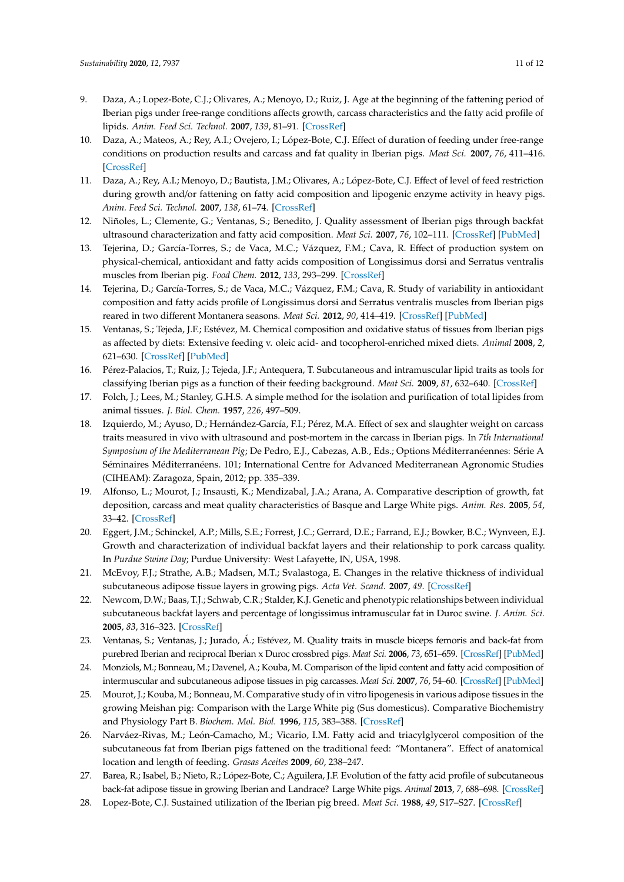- <span id="page-10-17"></span>9. Daza, A.; Lopez-Bote, C.J.; Olivares, A.; Menoyo, D.; Ruiz, J. Age at the beginning of the fattening period of Iberian pigs under free-range conditions affects growth, carcass characteristics and the fatty acid profile of lipids. *Anim. Feed Sci. Technol.* **2007**, *139*, 81–91. [\[CrossRef\]](http://dx.doi.org/10.1016/j.anifeedsci.2007.01.003)
- <span id="page-10-15"></span>10. Daza, A.; Mateos, A.; Rey, A.I.; Ovejero, I.; López-Bote, C.J. Effect of duration of feeding under free-range conditions on production results and carcass and fat quality in Iberian pigs. *Meat Sci.* **2007**, *76*, 411–416. [\[CrossRef\]](http://dx.doi.org/10.1016/j.meatsci.2006.10.004)
- <span id="page-10-19"></span>11. Daza, A.; Rey, A.I.; Menoyo, D.; Bautista, J.M.; Olivares, A.; López-Bote, C.J. Effect of level of feed restriction during growth and/or fattening on fatty acid composition and lipogenic enzyme activity in heavy pigs. *Anim. Feed Sci. Technol.* **2007**, *138*, 61–74. [\[CrossRef\]](http://dx.doi.org/10.1016/j.anifeedsci.2006.11.013)
- <span id="page-10-0"></span>12. Niñoles, L.; Clemente, G.; Ventanas, S.; Benedito, J. Quality assessment of Iberian pigs through backfat ultrasound characterization and fatty acid composition. *Meat Sci.* **2007**, *76*, 102–111. [\[CrossRef\]](http://dx.doi.org/10.1016/j.meatsci.2006.10.018) [\[PubMed\]](http://www.ncbi.nlm.nih.gov/pubmed/22064196)
- <span id="page-10-1"></span>13. Tejerina, D.; García-Torres, S.; de Vaca, M.C.; Vázquez, F.M.; Cava, R. Effect of production system on physical-chemical, antioxidant and fatty acids composition of Longissimus dorsi and Serratus ventralis muscles from Iberian pig. *Food Chem.* **2012**, *133*, 293–299. [\[CrossRef\]](http://dx.doi.org/10.1016/j.foodchem.2012.01.025)
- <span id="page-10-2"></span>14. Tejerina, D.; García-Torres, S.; de Vaca, M.C.; Vázquez, F.M.; Cava, R. Study of variability in antioxidant composition and fatty acids profile of Longissimus dorsi and Serratus ventralis muscles from Iberian pigs reared in two different Montanera seasons. *Meat Sci.* **2012**, *90*, 414–419. [\[CrossRef\]](http://dx.doi.org/10.1016/j.meatsci.2011.08.010) [\[PubMed\]](http://www.ncbi.nlm.nih.gov/pubmed/21924560)
- <span id="page-10-3"></span>15. Ventanas, S.; Tejeda, J.F.; Estévez, M. Chemical composition and oxidative status of tissues from Iberian pigs as affected by diets: Extensive feeding v. oleic acid- and tocopherol-enriched mixed diets. *Animal* **2008**, *2*, 621–630. [\[CrossRef\]](http://dx.doi.org/10.1017/S1751731107001528) [\[PubMed\]](http://www.ncbi.nlm.nih.gov/pubmed/22443579)
- <span id="page-10-4"></span>16. Pérez-Palacios, T.; Ruiz, J.; Tejeda, J.F.; Antequera, T. Subcutaneous and intramuscular lipid traits as tools for classifying Iberian pigs as a function of their feeding background. *Meat Sci.* **2009**, *81*, 632–640. [\[CrossRef\]](http://dx.doi.org/10.1016/j.meatsci.2008.10.022)
- <span id="page-10-5"></span>17. Folch, J.; Lees, M.; Stanley, G.H.S. A simple method for the isolation and purification of total lipides from animal tissues. *J. Biol. Chem.* **1957**, *226*, 497–509.
- <span id="page-10-6"></span>18. Izquierdo, M.; Ayuso, D.; Hernández-García, F.I.; Pérez, M.A. Effect of sex and slaughter weight on carcass traits measured in vivo with ultrasound and post-mortem in the carcass in Iberian pigs. In *7th International Symposium of the Mediterranean Pig*; De Pedro, E.J., Cabezas, A.B., Eds.; Options Méditerranéennes: Série A Séminaires Méditerranéens. 101; International Centre for Advanced Mediterranean Agronomic Studies (CIHEAM): Zaragoza, Spain, 2012; pp. 335–339.
- <span id="page-10-7"></span>19. Alfonso, L.; Mourot, J.; Insausti, K.; Mendizabal, J.A.; Arana, A. Comparative description of growth, fat deposition, carcass and meat quality characteristics of Basque and Large White pigs. *Anim. Res.* **2005**, *54*, 33–42. [\[CrossRef\]](http://dx.doi.org/10.1051/animres:2005001)
- <span id="page-10-8"></span>20. Eggert, J.M.; Schinckel, A.P.; Mills, S.E.; Forrest, J.C.; Gerrard, D.E.; Farrand, E.J.; Bowker, B.C.; Wynveen, E.J. Growth and characterization of individual backfat layers and their relationship to pork carcass quality. In *Purdue Swine Day*; Purdue University: West Lafayette, IN, USA, 1998.
- <span id="page-10-9"></span>21. McEvoy, F.J.; Strathe, A.B.; Madsen, M.T.; Svalastoga, E. Changes in the relative thickness of individual subcutaneous adipose tissue layers in growing pigs. *Acta Vet. Scand.* **2007**, *49*. [\[CrossRef\]](http://dx.doi.org/10.1186/1751-0147-49-32)
- <span id="page-10-10"></span>22. Newcom, D.W.; Baas, T.J.; Schwab, C.R.; Stalder, K.J. Genetic and phenotypic relationships between individual subcutaneous backfat layers and percentage of longissimus intramuscular fat in Duroc swine. *J. Anim. Sci.* **2005**, *83*, 316–323. [\[CrossRef\]](http://dx.doi.org/10.2527/2005.832316x)
- <span id="page-10-11"></span>23. Ventanas, S.; Ventanas, J.; Jurado, Á.; Estévez, M. Quality traits in muscle biceps femoris and back-fat from purebred Iberian and reciprocal Iberian x Duroc crossbred pigs. *Meat Sci.* **2006**, *73*, 651–659. [\[CrossRef\]](http://dx.doi.org/10.1016/j.meatsci.2006.03.009) [\[PubMed\]](http://www.ncbi.nlm.nih.gov/pubmed/22062566)
- <span id="page-10-12"></span>24. Monziols, M.; Bonneau, M.; Davenel, A.; Kouba, M. Comparison of the lipid content and fatty acid composition of intermuscular and subcutaneous adipose tissues in pig carcasses. *Meat Sci.* **2007**, *76*, 54–60. [\[CrossRef\]](http://dx.doi.org/10.1016/j.meatsci.2006.10.013) [\[PubMed\]](http://www.ncbi.nlm.nih.gov/pubmed/22064191)
- <span id="page-10-13"></span>25. Mourot, J.; Kouba, M.; Bonneau, M. Comparative study of in vitro lipogenesis in various adipose tissues in the growing Meishan pig: Comparison with the Large White pig (Sus domesticus). Comparative Biochemistry and Physiology Part B. *Biochem. Mol. Biol.* **1996**, *115*, 383–388. [\[CrossRef\]](http://dx.doi.org/10.1016/S0305-0491(96)00128-9)
- <span id="page-10-14"></span>26. Narváez-Rivas, M.; León-Camacho, M.; Vicario, I.M. Fatty acid and triacylglycerol composition of the subcutaneous fat from Iberian pigs fattened on the traditional feed: "Montanera". Effect of anatomical location and length of feeding. *Grasas Aceites* **2009**, *60*, 238–247.
- <span id="page-10-16"></span>27. Barea, R.; Isabel, B.; Nieto, R.; López-Bote, C.; Aguilera, J.F. Evolution of the fatty acid profile of subcutaneous back-fat adipose tissue in growing Iberian and Landrace? Large White pigs. *Animal* **2013**, *7*, 688–698. [\[CrossRef\]](http://dx.doi.org/10.1017/S175173111200184X)
- <span id="page-10-18"></span>28. Lopez-Bote, C.J. Sustained utilization of the Iberian pig breed. *Meat Sci.* **1988**, *49*, S17–S27. [\[CrossRef\]](http://dx.doi.org/10.1016/S0309-1740(98)00072-2)